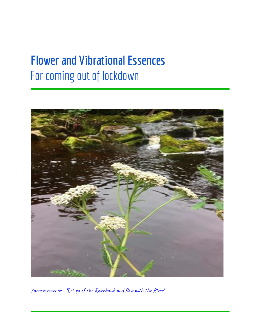# **Flower and Vibrational Essences** For coming out of lockdown



Yarrow essence - ''Let go of the Riverbank and flow with the River'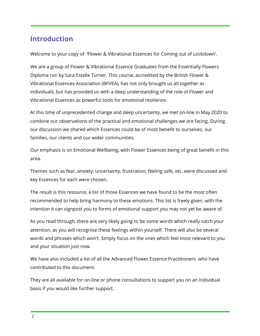## **Introduction**

Welcome to your copy of 'Flower & Vibrational Essences for Coming out of Lockdown'.

We are a group of Flower & Vibrational Essence Graduates from the Essentially Flowers Diploma run by Sara Estelle Turner. This course, accredited by the British Flower & Vibrational Essences Association (BFVEA), has not only brought us all together as individuals, but has provided us with a deep understanding of the role of Flower and Vibrational Essences as powerful tools for emotional resilience.

At this time of unprecedented change and deep uncertainty, we met on-line in May 2020 to combine our observations of the practical and emotional challenges we are facing. During our discussion we shared which Essences could be of most benefit to ourselves, our families, our clients and our wider communities.

Our emphasis is on Emotional Wellbeing, with Flower Essences being of great benefit in this area.

Themes such as fear, anxiety, uncertainty, frustration, feeling safe, etc. were discussed and key Essences for each were chosen.

The result is this resource, a list of those Essences we have found to be the most often recommended to help bring harmony to these emotions. This list is freely given, with the intention it can signpost you to forms of emotional support you may not yet be aware of.

As you read through, there are very likely going to be some words which really catch your attention, as you will recognise these feelings within yourself. There will also be several words and phrases which won't. Simply focus on the ones which feel most relevant to you and your situation just now.

We have also included a list of all the Advanced Flower Essence Practitioners who have contributed to this document.

They are all available for on-line or phone consultations to support you on an individual basis if you would like further support.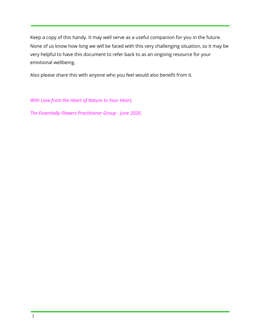Keep a copy of this handy. It may well serve as a useful companion for you in the future. None of us know how long we will be faced with this very challenging situation, so it may be very helpful to have this document to refer back to as an ongoing resource for your emotional wellbeing.

Also please share this with anyone who you feel would also benefit from it.

*With Love from the Heart of Nature to Your Heart,*

*The Essentially Flowers Practitioner Group - June 2020.*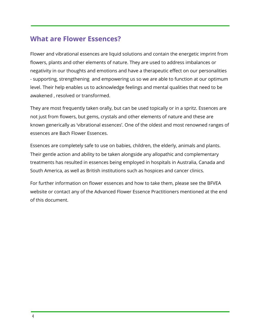## **What are Flower Essences?**

Flower and vibrational essences are liquid solutions and contain the energetic imprint from flowers, plants and other elements of nature. They are used to address imbalances or negativity in our thoughts and emotions and have a therapeutic effect on our personalities - supporting, strengthening and empowering us so we are able to function at our optimum level. Their help enables us to acknowledge feelings and mental qualities that need to be awakened , resolved or transformed.

They are most frequently taken orally, but can be used topically or in a spritz. Essences are not just from flowers, but gems, crystals and other elements of nature and these are known generically as 'vibrational essences'. One of the oldest and most renowned ranges of essences are Bach Flower Essences.

Essences are completely safe to use on babies, children, the elderly, animals and plants. Their gentle action and ability to be taken alongside any allopathic and complementary treatments has resulted in essences being employed in hospitals in Australia, Canada and South America, as well as British institutions such as hospices and cancer clinics.

For further information on flower essences and how to take them, please see the BFVEA website or contact any of the Advanced Flower Essence Practitioners mentioned at the end of this document.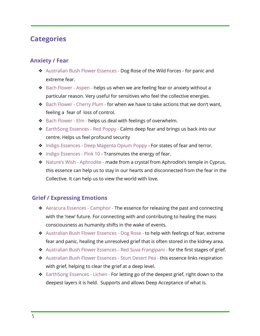## **Categories**

#### **Anxiety / Fear**

- ❖ Australian Bush Flower Essences Dog Rose of the Wild Forces for panic and extreme fear.
- ❖ Bach Flower Aspen helps us when we are feeling fear or anxiety without a particular reason. Very useful for sensitives who feel the collective energies.
- ❖ Bach Flower Cherry Plum for when we have to take actions that we don't want, feeling a fear of loss of control.
- ❖ Bach Flower Elm helps us deal with feelings of overwhelm.
- ❖ EarthSong Essences Red Poppy Calms deep fear and brings us back into our centre. Helps us feel profound security
- ❖ Indigo Essences Deep Magenta Opium Poppy For states of fear and terror.
- ❖ Indigo Essences Pink 10 Transmutes the energy of fear.
- ❖ Nature's Wish Aphrodite made from a crystal from Aphrodite's temple in Cyprus, this essence can help us to stay in our hearts and disconnected from the fear in the Collective. It can help us to view the world with love.

#### **Grief / Expressing Emotions**

- ❖ Aeracura Essences Camphor The essence for releasing the past and connecting with the 'new' future. For connecting with and contributing to healing the mass consciousness as humanity shifts in the wake of events.
- ◆ Australian Bush Flower Essences Dog Rose to help with feelings of fear, extreme fear and panic, healing the unresolved grief that is often stored in the kidney area.
- ❖ Australian Bush Flower Essences Red Suva Frangipani for the first stages of grief.
- ❖ Australian Bush Flower Essences Sturt Desert Pea this essence links respiration with grief, helping to clear the grief at a deep level.
- ❖ EarthSong Essences Lichen For letting go of the deepest grief, right down to the deepest layers it is held. Supports and allows Deep Acceptance of what is.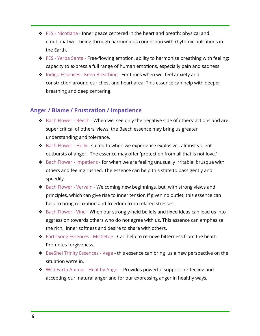- ❖ FES Nicotiana Inner peace centered in the heart and breath; physical and emotional well-being through harmonious connection with rhythmic pulsations in the Earth.
- ❖ FES Yerba Santa Free-flowing emotion, ability to harmonize breathing with feeling; capacity to express a full range of human emotions, especially pain and sadness.
- ❖ Indigo Essences Keep Breathing For times when we feel anxiety and constriction around our chest and heart area. This essence can help with deeper breathing and deep centering.

#### **Anger / Blame / Frustration / Impatience**

- ❖ Bach Flower Beech When we see only the negative side of others' actions and are super critical of others' views, the Beech essence may bring us greater understanding and tolerance.
- ❖ Bach Flower Holly suited to when we experience explosive , almost violent outbursts of anger. The essence may offer 'protection from all that is not love.'
- ❖ Bach Flower Impatiens for when we are feeling unusually irritable, brusque with others and feeling rushed. The essence can help this state to pass gently and speedily.
- ❖ Bach Flower Vervain Welcoming new beginnings, but with strong views and principles, which can give rise to inner tension if given no outlet, this essence can help to bring relaxation and freedom from related stresses.
- ❖ Bach Flower Vine When our strongly-held beliefs and fixed ideas can lead us into aggression towards others who do not agree with us. This essence can emphasise the rich, inner softness and desire to share with others.
- ❖ EarthSong Essences Mistletoe Can help to remove bitterness from the heart. Promotes forgiveness.
- ❖ EeeShel Trinity Essences Vega this essence can bring us a new perspective on the situation we're in.
- ❖ Wild Earth Animal Healthy Anger Provides powerful support for feeling and accepting our natural anger and for our expressing anger in healthy ways.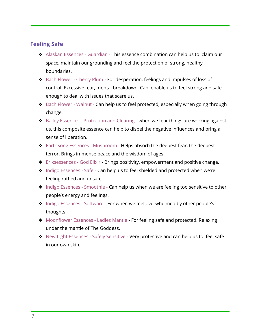#### **Feeling Safe**

- ❖ Alaskan Essences Guardian This essence combination can help us to claim our space, maintain our grounding and feel the protection of strong, healthy boundaries.
- ❖ Bach Flower Cherry Plum For desperation, feelings and impulses of loss of control. Excessive fear, mental breakdown. Can enable us to feel strong and safe enough to deal with issues that scare us.
- ◆ Bach Flower Walnut Can help us to feel protected, especially when going through change.
- ❖ Bailey Essences Protection and Clearing when we fear things are working against us, this composite essence can help to dispel the negative influences and bring a sense of liberation.
- ❖ EarthSong Essences Mushroom Helps absorb the deepest fear, the deepest terror. Brings immense peace and the wisdom of ages.
- ❖ Eriksessences God Elixir Brings positivity, empowerment and positive change.
- ❖ Indigo Essences Safe Can help us to feel shielded and protected when we're feeling rattled and unsafe.
- ◆ Indigo Essences Smoothie Can help us when we are feeling too sensitive to other people's energy and feelings.
- ❖ Indigo Essences Software For when we feel overwhelmed by other people's thoughts.
- ❖ Moonflower Essences Ladies Mantle For feeling safe and protected. Relaxing under the mantle of The Goddess.
- ❖ New Light Essences Safely Sensitive Very protective and can help us to feel safe in our own skin.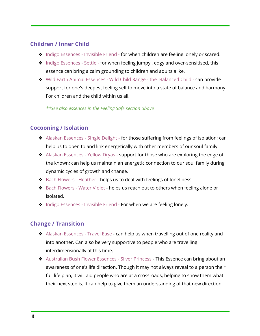#### **Children / Inner Child**

- ❖ Indigo Essences Invisible Friend for when children are feeling lonely or scared.
- ❖ Indigo Essences Settle for when feeling jumpy , edgy and over-sensitised, this essence can bring a calm grounding to children and adults alike.
- ❖ Wild Earth Animal Essences Wild Child Range the Balanced Child can provide support for one's deepest feeling self to move into a state of balance and harmony. For children and the child within us all.

*\*\*See also essences in the Feeling Safe section above*

#### **Cocooning / Isolation**

- ❖ Alaskan Essences SIngle Delight for those suffering from feelings of isolation; can help us to open to and link energetically with other members of our soul family.
- ❖ Alaskan Essences Yellow Dryas support for those who are exploring the edge of the known; can help us maintain an energetic connection to our soul family during dynamic cycles of growth and change.
- ❖ Bach Flowers Heather helps us to deal with feelings of loneliness.
- ❖ Bach Flowers Water Violet helps us reach out to others when feeling alone or isolated.
- ❖ Indigo Essences Invisible Friend For when we are feeling lonely.

#### **Change / Transition**

- ❖ Alaskan Essences Travel Ease can help us when travelling out of one reality and into another. Can also be very supportive to people who are travelling interdimensionally at this time.
- ❖ Australian Bush Flower Essences Silver Princess This Essence can bring about an awareness of one's life direction. Though it may not always reveal to a person their full life plan, it will aid people who are at a crossroads, helping to show them what their next step is. It can help to give them an understanding of that new direction.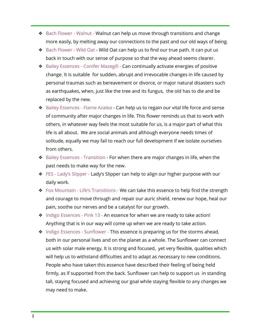- ❖ Bach Flower Walnut Walnut can help us move through transitions and change more easily, by melting away our connections to the past and our old ways of being.
- ❖ Bach Flower Wild Oat Wild Oat can help us to find our true path. It can put us back in touch with our sense of purpose so that the way ahead seems clearer.
- ❖ Bailey Essences Conifer Mazegill Can continually activate energies of positive change. It is suitable for sudden, abrupt and irrevocable changes in life caused by personal traumas such as bereavement or divorce, or major natural disasters such as earthquakes, when, just like the tree and its fungus, the old has to die and be replaced by the new.
- ❖ Bailey Essences Flame Azalea Can help us to regain our vital life force and sense of community after major changes in life. This flower reminds us that to work with others, in whatever way feels the most suitable for us, is a major part of what this life is all about. We are social animals and although everyone needs times of solitude, equally we may fail to reach our full development if we isolate ourselves from others.
- ❖ Bailey Essences Transition For when there are major changes in life, when the past needs to make way for the new.
- ❖ FES Lady's Slipper Lady's Slipper can help to align our higher purpose with our daily work.
- ❖ Fox Mountain Life's Transitions We can take this essence to help find the strength and courage to move through and repair our auric shield, renew our hope, heal our pain, soothe our nerves and be a catalyst for our growth.
- ❖ Indigo Essences Pink 13 An essence for when we are ready to take action! Anything that is in our way will come up when we are ready to take action.
- ❖ Indigo Essences Sunflower This essence is preparing us for the storms ahead, both in our personal lives and on the planet as a whole. The Sunflower can connect us with solar male energy. It is strong and focused, yet very flexible, qualities which will help us to withstand difficulties and to adapt as necessary to new conditions. People who have taken this essence have described their feeling of being held firmly, as if supported from the back. Sunflower can help to support us in standing tall, staying focused and achieving our goal while staying flexible to any changes we may need to make.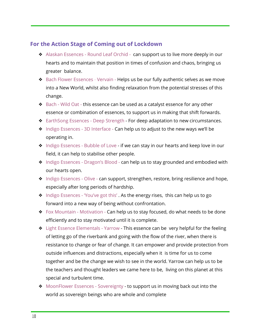#### **For the Action Stage of Coming out of Lockdown**

- ❖ Alaskan Essences Round Leaf Orchid can support us to live more deeply in our hearts and to maintain that position in times of confusion and chaos, bringing us greater balance.
- ❖ Bach Flower Essences Vervain Helps us be our fully authentic selves as we move into a New World, whilst also finding relaxation from the potential stresses of this change.
- ❖ Bach Wild Oat this essence can be used as a catalyst essence for any other essence or combination of essences, to support us in making that shift forwards.
- ❖ EarthSong Essences Deep Strength For deep adaptation to new circumstances.
- ❖ Indigo Essences 3D Interface Can help us to adjust to the new ways we'll be operating in.
- ❖ Indigo Essences Bubble of Love if we can stay in our hearts and keep love in our field, it can help to stabilise other people.
- ❖ Indigo Essences Dragon's Blood can help us to stay grounded and embodied with our hearts open.
- ❖ Indigo Essences Olive can support, strengthen, restore, bring resilience and hope, especially after long periods of hardship.
- ❖ Indigo Essences 'You've got this' . As the energy rises, this can help us to go forward into a new way of being without confrontation.
- $\div$  Fox Mountain Motivation Can help us to stay focused, do what needs to be done efficiently and to stay motivated until it is complete.
- ❖ Light Essence Elementals Yarrow This essence can be very helpful for the feeling of letting go of the riverbank and going with the flow of the river, when there is resistance to change or fear of change. It can empower and provide protection from outside influences and distractions, especially when it is time for us to come together and be the change we wish to see in the world. Yarrow can help us to be the teachers and thought leaders we came here to be, living on this planet at this special and turbulent time.
- ❖ MoonFlower Essences Sovereignty to support us in moving back out into the world as sovereign beings who are whole and complete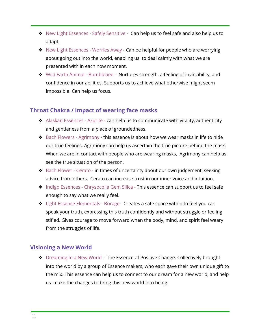- ❖ New Light Essences Safely Sensitive Can help us to feel safe and also help us to adapt.
- ❖ New Light Essences Worries Away Can be helpful for people who are worrying about going out into the world, enabling us to deal calmly with what we are presented with in each now moment.
- ❖ Wild Earth Animal Bumblebee Nurtures strength, a feeling of invincibility, and confidence in our abilities. Supports us to achieve what otherwise might seem impossible. Can help us focus.

#### **Throat Chakra / Impact of wearing face masks**

- ❖ Alaskan Essences Azurite can help us to communicate with vitality, authenticity and gentleness from a place of groundedness.
- ❖ Bach Flowers Agrimony this essence is about how we wear masks in life to hide our true feelings. Agrimony can help us ascertain the true picture behind the mask. When we are in contact with people who are wearing masks, Agrimony can help us see the true situation of the person.
- ❖ Bach Flower Cerato in times of uncertainty about our own judgement, seeking advice from others, Cerato can increase trust in our inner voice and intuition.
- ❖ Indigo Essences Chrysocolla Gem Silica This essence can support us to feel safe enough to say what we really feel.
- ❖ Light Essence Elementals Borage Creates a safe space within to feel you can speak your truth, expressing this truth confidently and without struggle or feeling stifled. Gives courage to move forward when the body, mind, and spirit feel weary from the struggles of life.

#### **Visioning a New World**

◆ Dreaming In a New World - The Essence of Positive Change. Collectively brought into the world by a group of Essence makers, who each gave their own unique gift to the mix. This essence can help us to connect to our dream for a new world, and help us make the changes to bring this new world into being.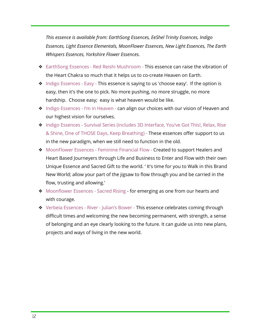*This essence is available from: EarthSong Essences, EeShel Trinity Essences, Indigo Essences, Light Essence Elementals, MoonFlower Essences, New Light Essences, The Earth Whispers Essences, Yorkshire Flower Essences.*

- ❖ EarthSong Essences Red Reishi Mushroom This essence can raise the vibration of the Heart Chakra so much that it helps us to co-create Heaven on Earth.
- ❖ Indigo Essences Easy This essence is saying to us 'choose easy'. If the option is easy, then it's the one to pick. No more pushing, no more struggle, no more hardship. Choose easy; easy is what heaven would be like.
- ❖ Indigo Essences I'm in Heaven can align our choices with our vision of Heaven and our highest vision for ourselves.
- ❖ Indigo Essences Survival Series (includes 3D Interface, You've Got This!, Relax, Rise & Shine, One of THOSE Days, Keep Breathing) - These essences offer support to us in the new paradigm, when we still need to function in the old.
- ❖ MoonFlower Essences Feminine Financial Flow Created to support Healers and Heart Based Journeyers through Life and Business to Enter and Flow with their own Unique Essence and Sacred Gift to the world. ' It's time for you to Walk in this Brand New World; allow your part of the jigsaw to flow through you and be carried in the flow, trusting and allowing.'
- ❖ Moonflower Essences Sacred Rising for emerging as one from our hearts and with courage.
- ❖ Verbeia Essences River Julian's Bower This essence celebrates coming through difficult times and welcoming the new becoming permanent, with strength, a sense of belonging and an eye clearly looking to the future. It can guide us into new plans, projects and ways of living in the new world.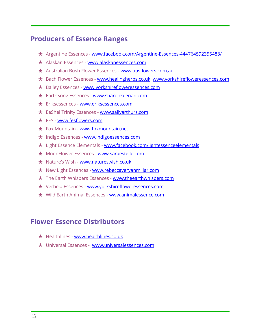## **Producers of Essence Ranges**

- ★ Argentine Essences [www.facebook.com/Argentine-Essences-444764592355488/](http://www.facebook.com/Argentine-Essences-444764592355488/)
- ★ Alaskan Essences [www.alaskanessences.com](http://www.alaskanessences.com/)
- ★ Australian Bush Flower Essences [www.ausflowers.com.au](http://www.ausflowers.co.au/)
- ★ Bach Flower Essences [www.healingherbs.co.uk](http://www.healingherbs.co.uk/); [www.yorkshirefloweressences.com](http://www.yorkshirefloweressences.com/)
- ★ Bailey Essences [www.yorkshirefloweressences.com](http://www.yorkshirefloweressences.com/)
- ★ EarthSong Essences [www.sharonkeenan.com](http://www.sharonkeenan.com/)
- ★ Eriksessences [www.eriksessences.com](http://www.eriksessences.com/)
- ★ EeShel Trinity Essences [www.sallyarthurs.com](http://www.sallyarthurs.com/)
- ★ FES [www.fesflowers.com](http://www.fesflowers.com/)
- ★ Fox Mountain [www.foxmountain.net](http://www.foxmountain.net/)
- ★ Indigo Essences [www.indigoessences.com](http://www.indigoessences.com/)
- ★ Light Essence Elementals [www.facebook.com/lightessenceelementals](http://www.facebook.com/lightessenceelementals/)
- ★ MoonFlower Essences [www.saraestelle.com](http://www.saraestelle.com/)
- ★ Nature's Wish [www.natureswish.co.uk](http://www.natureswish.co.uk/)
- ★ New Light Essences [www.rebeccaveryanmillar.com](http://www.rebeccaveryanmillar.com/)
- ★ The Earth Whispers Essences [www.theearthwhispers.com](http://www.theearthwhispers.com/)
- ★ Verbeia Essences [www.yorkshirefloweressences.com](http://www.yorkshirefloweressences.com/)
- ★ Wild Earth Animal Essences [www.animalessence.com](https://www.animalessence.com/)

## **Flower Essence Distributors**

- ★ Healthlines [www.healthlines.co.uk](http://www.healthlines.co.uk/)
- ★ Universal Essences [www.universalessences.com](http://www.universalessences.com/)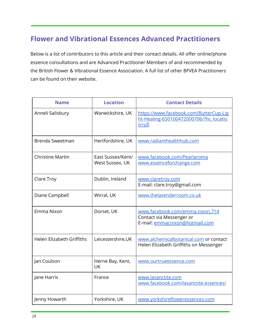# **Flower and Vibrational Essences Advanced Practitioners**

Below is a list of contributors to this article and their contact details. All offer online/phone essence consultations and are Advanced Practitioner Members of and recommended by the British Flower & Vibrational Essence Association. A full list of other BFVEA Practitioners can be found on their website.

| <b>Name</b>               | <b>Location</b>                      | <b>Contact Details</b>                                                                        |
|---------------------------|--------------------------------------|-----------------------------------------------------------------------------------------------|
| Anneli Salisbury          | Warwickshire, UK                     | https://www.facebook.com/ButterCup-Lig<br>ht-Healing-650100472000706/?hc locatio<br>$n = ufi$ |
| Brenda Sweetman           | Hertfordshire, UK                    | www.radianthealthhub.com                                                                      |
| <b>Christine Martin</b>   | East Sussex/Kent/<br>West Sussex, UK | www.facebook.com/Pearlaroma<br>www.essenceforchange.com                                       |
| Clare Troy                | Dublin, Ireland                      | www.claretroy.com<br>E-mail: clare.troy@gmail.com                                             |
| Diane Campbell            | Wirral, UK                           | www.thelavenderroom.co.uk                                                                     |
| Emma Nixon                | Dorset, UK                           | www.facebook.com/emma.nixon.714<br>Contact via Messenger or<br>E-mail: emmacnixon@hotmail.com |
| Helen Elizabeth Griffiths | Leicestershire, UK                   | www.alchemicalbotanical.com or contact<br>Helen Elizabeth Griffiths on Messenger              |
| Jan Coulson               | Herne Bay, Kent,<br><b>UK</b>        | www.ourtrueessence.com                                                                        |
| Jane Harris               | France                               | www.lasanctite.com<br>www.facebook.com/lasanctite.essences/                                   |
| Jenny Howarth             | Yorkshire, UK                        | www.yorkshirefloweressences.com                                                               |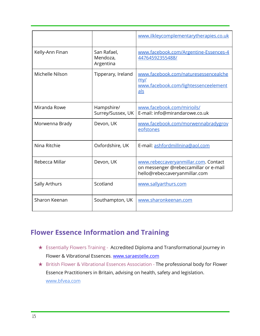|                 |                                      | www.ilkleycomplementarytherapies.co.uk                                                                         |
|-----------------|--------------------------------------|----------------------------------------------------------------------------------------------------------------|
| Kelly-Ann Finan | San Rafael,<br>Mendoza,<br>Argentina | www.facebook.com/Argentine-Essences-4<br>44764592355488/                                                       |
| Michelle Nilson | Tipperary, Ireland                   | www.facebook.com/naturesessencealche<br>my/<br>www.facebook.com/lightessenceelement<br>als                     |
| Miranda Rowe    | Hampshire/<br>Surrey/Sussex, UK      | www.facebook.com/mirioils/<br>E-mail: info@mirandarowe.co.uk                                                   |
| Morwenna Brady  | Devon, UK                            | www.facebook.com/morwennabradygrov<br>eofstones                                                                |
| Nina Ritchie    | Oxfordshire, UK                      | E-mail: ashfordmillnina@aol.com                                                                                |
| Rebecca Millar  | Devon, UK                            | www.rebeccaveryanmillar.com. Contact<br>on messenger @rebeccamillar or e-mail<br>hello@rebeccaveryanmillar.com |
| Sally Arthurs   | Scotland                             | www.sallyarthurs.com                                                                                           |
| Sharon Keenan   | Southampton, UK                      | www.sharonkeenan.com                                                                                           |

# **Flower Essence Information and Training**

- ★ Essentially Flowers Training Accredited Diploma and Transformational Journey in Flower & Vibrational Essences. [www.saraestelle.com](http://www.saraestelle.com/)
- ★ British Flower & Vibrational Essences Association The professional body for Flower Essence Practitioners in Britain, advising on health, safety and legislation. [www.bfvea.com](http://www.bfvea.com/)